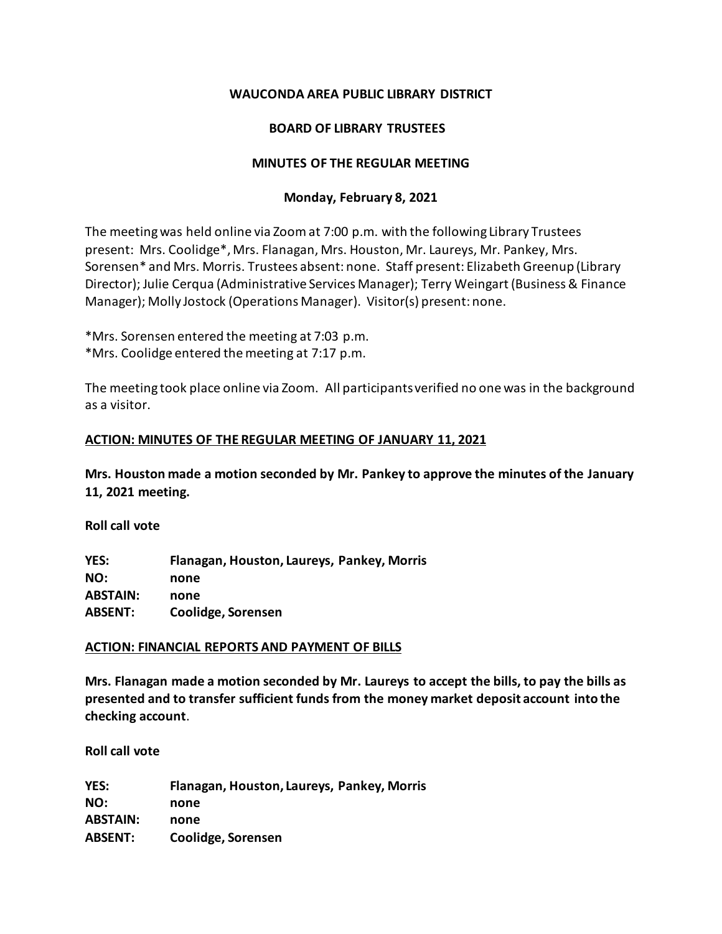# **WAUCONDA AREA PUBLIC LIBRARY DISTRICT**

# **BOARD OF LIBRARY TRUSTEES**

## **MINUTES OF THE REGULAR MEETING**

## **Monday, February 8, 2021**

The meeting was held online via Zoomat 7:00 p.m. with the following Library Trustees present: Mrs. Coolidge\*, Mrs. Flanagan, Mrs. Houston, Mr. Laureys, Mr. Pankey, Mrs. Sorensen\* and Mrs. Morris. Trustees absent: none. Staff present: Elizabeth Greenup (Library Director); Julie Cerqua (Administrative Services Manager); Terry Weingart (Business & Finance Manager); Molly Jostock (Operations Manager). Visitor(s) present: none.

\*Mrs. Sorensen entered the meeting at 7:03 p.m. \*Mrs. Coolidge entered the meeting at 7:17 p.m.

The meeting took place online via Zoom. All participants verified no one was in the background as a visitor.

## **ACTION: MINUTES OF THE REGULAR MEETING OF JANUARY 11, 2021**

**Mrs. Houston made a motion seconded by Mr. Pankey to approve the minutes of the January 11, 2021 meeting.** 

**Roll call vote**

**YES: Flanagan, Houston, Laureys, Pankey, Morris NO: none ABSTAIN: none ABSENT: Coolidge, Sorensen**

# **ACTION: FINANCIAL REPORTS AND PAYMENT OF BILLS**

**Mrs. Flanagan made a motion seconded by Mr. Laureys to accept the bills, to pay the bills as presented and to transfer sufficient funds from the money market deposit account into the checking account**.

**Roll call vote** 

**YES: Flanagan, Houston, Laureys, Pankey, Morris NO: none ABSTAIN: none ABSENT: Coolidge, Sorensen**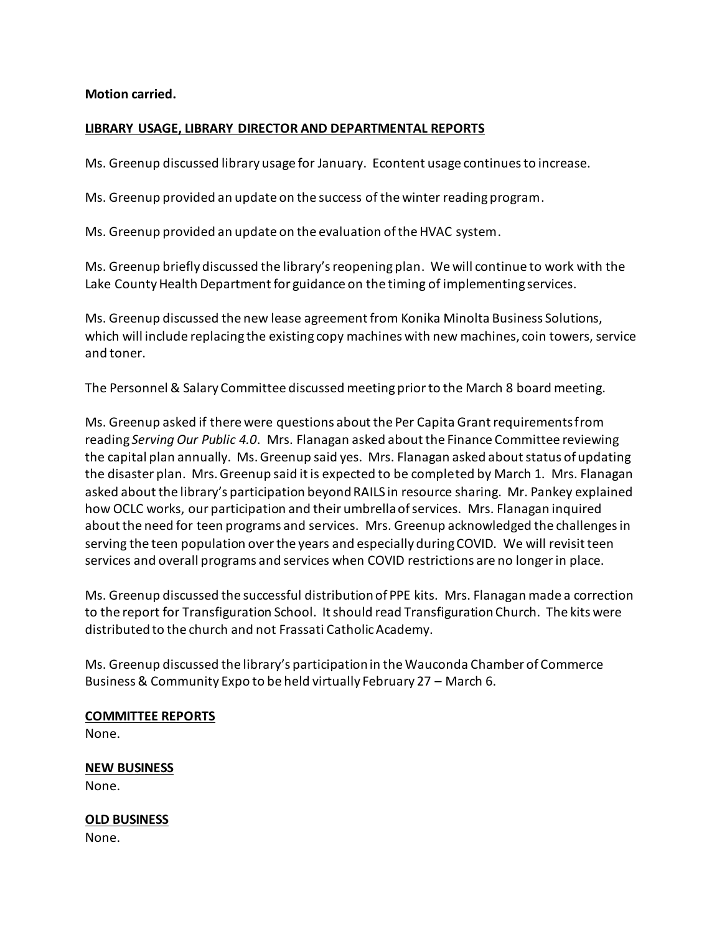**Motion carried.**

## **LIBRARY USAGE, LIBRARY DIRECTOR AND DEPARTMENTAL REPORTS**

Ms. Greenup discussed library usage for January. Econtent usage continues to increase.

Ms. Greenup provided an update on the success of the winter reading program.

Ms. Greenup provided an update on the evaluation of the HVAC system.

Ms. Greenup briefly discussed the library's reopening plan. We will continue to work with the Lake County Health Department for guidance on the timing of implementing services.

Ms. Greenup discussed the new lease agreement from Konika Minolta Business Solutions, which will include replacing the existing copy machines with new machines, coin towers, service and toner.

The Personnel & Salary Committee discussed meeting prior to the March 8 board meeting.

Ms. Greenup asked if there were questions about the Per Capita Grant requirements from reading *Serving Our Public 4.0*. Mrs. Flanagan asked about the Finance Committee reviewing the capital plan annually. Ms. Greenup said yes. Mrs. Flanagan asked about status of updating the disaster plan. Mrs. Greenup said it is expected to be completed by March 1. Mrs. Flanagan asked about the library's participation beyond RAILS in resource sharing. Mr. Pankey explained how OCLC works, our participation and their umbrella of services. Mrs. Flanagan inquired about the need for teen programs and services. Mrs. Greenup acknowledged the challenges in serving the teen population over the years and especially during COVID. We will revisit teen services and overall programs and services when COVID restrictions are no longer in place.

Ms. Greenup discussed the successful distribution of PPE kits. Mrs. Flanagan made a correction to the report for Transfiguration School. It should read Transfiguration Church. The kits were distributed to the church and not Frassati Catholic Academy.

Ms. Greenup discussed the library's participation in the Wauconda Chamber of Commerce Business & Community Expo to be held virtually February 27 – March 6.

# **COMMITTEE REPORTS**

None.

# **NEW BUSINESS**

None.

**OLD BUSINESS** None.